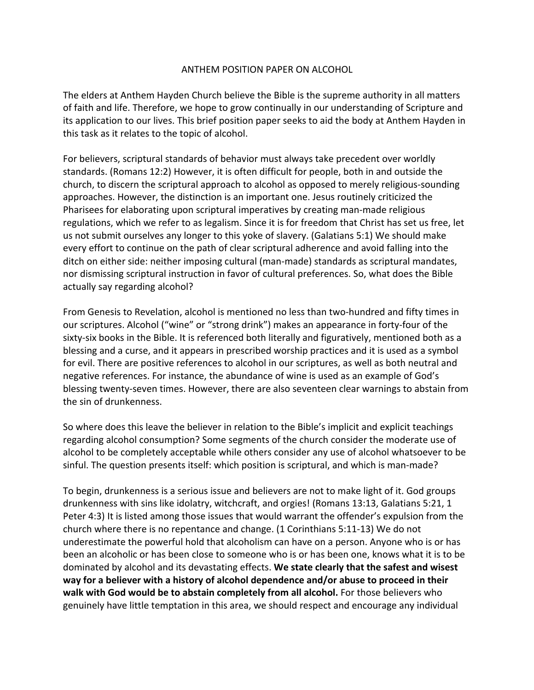## ANTHEM POSITION PAPER ON ALCOHOL

The elders at Anthem Hayden Church believe the Bible is the supreme authority in all matters of faith and life. Therefore, we hope to grow continually in our understanding of Scripture and its application to our lives. This brief position paper seeks to aid the body at Anthem Hayden in this task as it relates to the topic of alcohol.

For believers, scriptural standards of behavior must always take precedent over worldly standards. (Romans 12:2) However, it is often difficult for people, both in and outside the church, to discern the scriptural approach to alcohol as opposed to merely religious-sounding approaches. However, the distinction is an important one. Jesus routinely criticized the Pharisees for elaborating upon scriptural imperatives by creating man-made religious regulations, which we refer to as legalism. Since it is for freedom that Christ has set us free, let us not submit ourselves any longer to this yoke of slavery. (Galatians 5:1) We should make every effort to continue on the path of clear scriptural adherence and avoid falling into the ditch on either side: neither imposing cultural (man-made) standards as scriptural mandates, nor dismissing scriptural instruction in favor of cultural preferences. So, what does the Bible actually say regarding alcohol?

From Genesis to Revelation, alcohol is mentioned no less than two-hundred and fifty times in our scriptures. Alcohol ("wine" or "strong drink") makes an appearance in forty-four of the sixty-six books in the Bible. It is referenced both literally and figuratively, mentioned both as a blessing and a curse, and it appears in prescribed worship practices and it is used as a symbol for evil. There are positive references to alcohol in our scriptures, as well as both neutral and negative references. For instance, the abundance of wine is used as an example of God's blessing twenty-seven times. However, there are also seventeen clear warnings to abstain from the sin of drunkenness.

So where does this leave the believer in relation to the Bible's implicit and explicit teachings regarding alcohol consumption? Some segments of the church consider the moderate use of alcohol to be completely acceptable while others consider any use of alcohol whatsoever to be sinful. The question presents itself: which position is scriptural, and which is man-made?

To begin, drunkenness is a serious issue and believers are not to make light of it. God groups drunkenness with sins like idolatry, witchcraft, and orgies! (Romans 13:13, Galatians 5:21, 1 Peter 4:3) It is listed among those issues that would warrant the offender's expulsion from the church where there is no repentance and change. (1 Corinthians 5:11-13) We do not underestimate the powerful hold that alcoholism can have on a person. Anyone who is or has been an alcoholic or has been close to someone who is or has been one, knows what it is to be dominated by alcohol and its devastating effects. **We state clearly that the safest and wisest way for a believer with a history of alcohol dependence and/or abuse to proceed in their walk with God would be to abstain completely from all alcohol.** For those believers who genuinely have little temptation in this area, we should respect and encourage any individual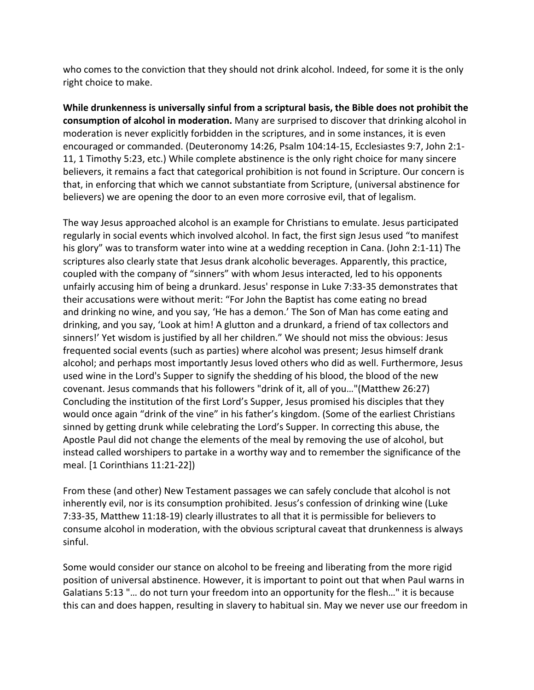who comes to the conviction that they should not drink alcohol. Indeed, for some it is the only right choice to make.

**While drunkenness is universally sinful from a scriptural basis, the Bible does not prohibit the consumption of alcohol in moderation.** Many are surprised to discover that drinking alcohol in moderation is never explicitly forbidden in the scriptures, and in some instances, it is even encouraged or commanded. (Deuteronomy 14:26, Psalm 104:14-15, Ecclesiastes 9:7, John 2:1- 11, 1 Timothy 5:23, etc.) While complete abstinence is the only right choice for many sincere believers, it remains a fact that categorical prohibition is not found in Scripture. Our concern is that, in enforcing that which we cannot substantiate from Scripture, (universal abstinence for believers) we are opening the door to an even more corrosive evil, that of legalism.

The way Jesus approached alcohol is an example for Christians to emulate. Jesus participated regularly in social events which involved alcohol. In fact, the first sign Jesus used "to manifest his glory" was to transform water into wine at a wedding reception in Cana. (John 2:1-11) The scriptures also clearly state that Jesus drank alcoholic beverages. Apparently, this practice, coupled with the company of "sinners" with whom Jesus interacted, led to his opponents unfairly accusing him of being a drunkard. Jesus' response in Luke 7:33-35 demonstrates that their accusations were without merit: "For John the Baptist has come eating no bread and drinking no wine, and you say, 'He has a demon.' The Son of Man has come eating and drinking, and you say, 'Look at him! A glutton and a drunkard, a friend of tax collectors and sinners!' Yet wisdom is justified by all her children." We should not miss the obvious: Jesus frequented social events (such as parties) where alcohol was present; Jesus himself drank alcohol; and perhaps most importantly Jesus loved others who did as well. Furthermore, Jesus used wine in the Lord's Supper to signify the shedding of his blood, the blood of the new covenant. Jesus commands that his followers "drink of it, all of you…"(Matthew 26:27) Concluding the institution of the first Lord's Supper, Jesus promised his disciples that they would once again "drink of the vine" in his father's kingdom. (Some of the earliest Christians sinned by getting drunk while celebrating the Lord's Supper. In correcting this abuse, the Apostle Paul did not change the elements of the meal by removing the use of alcohol, but instead called worshipers to partake in a worthy way and to remember the significance of the meal. [1 Corinthians 11:21-22])

From these (and other) New Testament passages we can safely conclude that alcohol is not inherently evil, nor is its consumption prohibited. Jesus's confession of drinking wine (Luke 7:33-35, Matthew 11:18-19) clearly illustrates to all that it is permissible for believers to consume alcohol in moderation, with the obvious scriptural caveat that drunkenness is always sinful.

Some would consider our stance on alcohol to be freeing and liberating from the more rigid position of universal abstinence. However, it is important to point out that when Paul warns in Galatians 5:13 "… do not turn your freedom into an opportunity for the flesh…" it is because this can and does happen, resulting in slavery to habitual sin. May we never use our freedom in